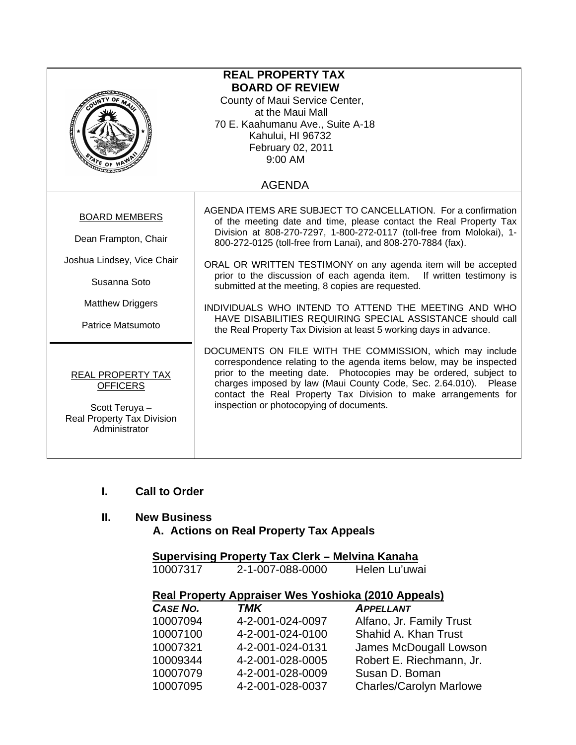| <b>REAL PROPERTY TAX</b><br><b>BOARD OF REVIEW</b><br>County of Maui Service Center,<br>at the Maui Mall<br>70 E. Kaahumanu Ave., Suite A-18<br>Kahului, HI 96732<br>February 02, 2011<br>9:00 AM<br>ATE OF H |                                                                                                                                                                                                                                                                                                                                                                                                                                                                                                                                                                                                                                                                       |  |
|---------------------------------------------------------------------------------------------------------------------------------------------------------------------------------------------------------------|-----------------------------------------------------------------------------------------------------------------------------------------------------------------------------------------------------------------------------------------------------------------------------------------------------------------------------------------------------------------------------------------------------------------------------------------------------------------------------------------------------------------------------------------------------------------------------------------------------------------------------------------------------------------------|--|
|                                                                                                                                                                                                               | <b>AGENDA</b>                                                                                                                                                                                                                                                                                                                                                                                                                                                                                                                                                                                                                                                         |  |
| <b>BOARD MEMBERS</b><br>Dean Frampton, Chair<br>Joshua Lindsey, Vice Chair<br>Susanna Soto<br><b>Matthew Driggers</b><br>Patrice Matsumoto                                                                    | AGENDA ITEMS ARE SUBJECT TO CANCELLATION. For a confirmation<br>of the meeting date and time, please contact the Real Property Tax<br>Division at 808-270-7297, 1-800-272-0117 (toll-free from Molokai), 1-<br>800-272-0125 (toll-free from Lanai), and 808-270-7884 (fax).<br>ORAL OR WRITTEN TESTIMONY on any agenda item will be accepted<br>prior to the discussion of each agenda item. If written testimony is<br>submitted at the meeting, 8 copies are requested.<br>INDIVIDUALS WHO INTEND TO ATTEND THE MEETING AND WHO<br>HAVE DISABILITIES REQUIRING SPECIAL ASSISTANCE should call<br>the Real Property Tax Division at least 5 working days in advance. |  |
| <b>REAL PROPERTY TAX</b><br><b>OFFICERS</b><br>Scott Teruya -<br><b>Real Property Tax Division</b><br>Administrator                                                                                           | DOCUMENTS ON FILE WITH THE COMMISSION, which may include<br>correspondence relating to the agenda items below, may be inspected<br>prior to the meeting date. Photocopies may be ordered, subject to<br>charges imposed by law (Maui County Code, Sec. 2.64.010). Please<br>contact the Real Property Tax Division to make arrangements for<br>inspection or photocopying of documents.                                                                                                                                                                                                                                                                               |  |

**I. Call to Order** 

# **II. New Business A. Actions on Real Property Tax Appeals**

# **Supervising Property Tax Clerk – Melvina Kanaha**

| 10007317 | 2-1-007-088-0000 | Helen Lu'uwai |
|----------|------------------|---------------|
|          |                  |               |

# **Real Property Appraiser Wes Yoshioka (2010 Appeals)**

| CASE NO. | <b>TMK</b>       | <b>APPELLANT</b>               |
|----------|------------------|--------------------------------|
| 10007094 | 4-2-001-024-0097 | Alfano, Jr. Family Trust       |
| 10007100 | 4-2-001-024-0100 | Shahid A. Khan Trust           |
| 10007321 | 4-2-001-024-0131 | James McDougall Lowson         |
| 10009344 | 4-2-001-028-0005 | Robert E. Riechmann, Jr.       |
| 10007079 | 4-2-001-028-0009 | Susan D. Boman                 |
| 10007095 | 4-2-001-028-0037 | <b>Charles/Carolyn Marlowe</b> |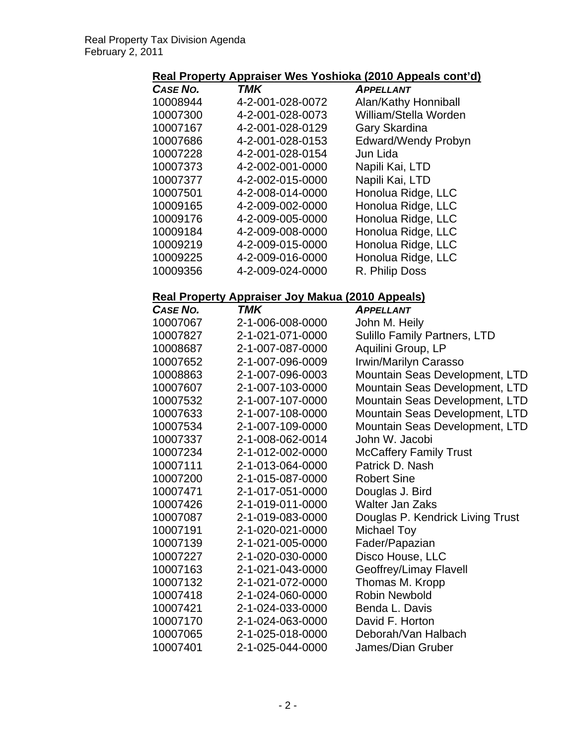# **Real Property Appraiser Wes Yoshioka (2010 Appeals cont'd)**

| <b>CASE NO.</b> | TMK              | <b>APPELLANT</b>           |
|-----------------|------------------|----------------------------|
| 10008944        | 4-2-001-028-0072 | Alan/Kathy Honniball       |
| 10007300        | 4-2-001-028-0073 | William/Stella Worden      |
| 10007167        | 4-2-001-028-0129 | Gary Skardina              |
| 10007686        | 4-2-001-028-0153 | <b>Edward/Wendy Probyn</b> |
| 10007228        | 4-2-001-028-0154 | Jun Lida                   |
| 10007373        | 4-2-002-001-0000 | Napili Kai, LTD            |
| 10007377        | 4-2-002-015-0000 | Napili Kai, LTD            |
| 10007501        | 4-2-008-014-0000 | Honolua Ridge, LLC         |
| 10009165        | 4-2-009-002-0000 | Honolua Ridge, LLC         |
| 10009176        | 4-2-009-005-0000 | Honolua Ridge, LLC         |
| 10009184        | 4-2-009-008-0000 | Honolua Ridge, LLC         |
| 10009219        | 4-2-009-015-0000 | Honolua Ridge, LLC         |
| 10009225        | 4-2-009-016-0000 | Honolua Ridge, LLC         |
| 10009356        | 4-2-009-024-0000 | R. Philip Doss             |

## **Real Property Appraiser Joy Makua (2010 Appeals)**

| CASE NO. | <b>TMK</b>       | <b>APPELLANT</b>                    |
|----------|------------------|-------------------------------------|
| 10007067 | 2-1-006-008-0000 | John M. Heily                       |
| 10007827 | 2-1-021-071-0000 | <b>Sulillo Family Partners, LTD</b> |
| 10008687 | 2-1-007-087-0000 | Aquilini Group, LP                  |
| 10007652 | 2-1-007-096-0009 | Irwin/Marilyn Carasso               |
| 10008863 | 2-1-007-096-0003 | Mountain Seas Development, LTD      |
| 10007607 | 2-1-007-103-0000 | Mountain Seas Development, LTD      |
| 10007532 | 2-1-007-107-0000 | Mountain Seas Development, LTD      |
| 10007633 | 2-1-007-108-0000 | Mountain Seas Development, LTD      |
| 10007534 | 2-1-007-109-0000 | Mountain Seas Development, LTD      |
| 10007337 | 2-1-008-062-0014 | John W. Jacobi                      |
| 10007234 | 2-1-012-002-0000 | <b>McCaffery Family Trust</b>       |
| 10007111 | 2-1-013-064-0000 | Patrick D. Nash                     |
| 10007200 | 2-1-015-087-0000 | <b>Robert Sine</b>                  |
| 10007471 | 2-1-017-051-0000 | Douglas J. Bird                     |
| 10007426 | 2-1-019-011-0000 | <b>Walter Jan Zaks</b>              |
| 10007087 | 2-1-019-083-0000 | Douglas P. Kendrick Living Trust    |
| 10007191 | 2-1-020-021-0000 | <b>Michael Toy</b>                  |
| 10007139 | 2-1-021-005-0000 | Fader/Papazian                      |
| 10007227 | 2-1-020-030-0000 | Disco House, LLC                    |
| 10007163 | 2-1-021-043-0000 | Geoffrey/Limay Flavell              |
| 10007132 | 2-1-021-072-0000 | Thomas M. Kropp                     |
| 10007418 | 2-1-024-060-0000 | <b>Robin Newbold</b>                |
| 10007421 | 2-1-024-033-0000 | Benda L. Davis                      |
| 10007170 | 2-1-024-063-0000 | David F. Horton                     |
| 10007065 | 2-1-025-018-0000 | Deborah/Van Halbach                 |
| 10007401 | 2-1-025-044-0000 | James/Dian Gruber                   |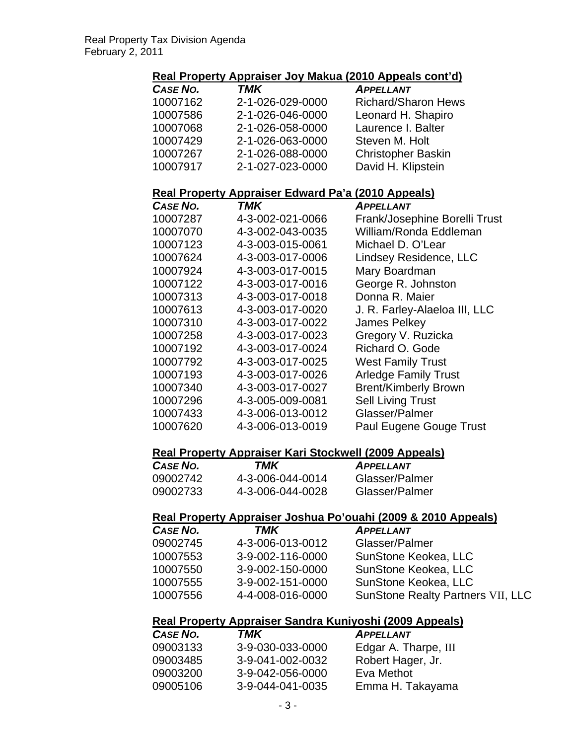## **Real Property Appraiser Joy Makua (2010 Appeals cont'd)**

| CASE NO. | <b>TMK</b>       | <b>APPELLANT</b>           |
|----------|------------------|----------------------------|
| 10007162 | 2-1-026-029-0000 | <b>Richard/Sharon Hews</b> |
| 10007586 | 2-1-026-046-0000 | Leonard H. Shapiro         |
| 10007068 | 2-1-026-058-0000 | Laurence I. Balter         |
| 10007429 | 2-1-026-063-0000 | Steven M. Holt             |
| 10007267 | 2-1-026-088-0000 | <b>Christopher Baskin</b>  |
| 10007917 | 2-1-027-023-0000 | David H. Klipstein         |

## **Real Property Appraiser Edward Pa'a (2010 Appeals)**

| CASE NO. | TMK              | <b>APPELLANT</b>              |
|----------|------------------|-------------------------------|
| 10007287 | 4-3-002-021-0066 | Frank/Josephine Borelli Trust |
| 10007070 | 4-3-002-043-0035 | William/Ronda Eddleman        |
| 10007123 | 4-3-003-015-0061 | Michael D. O'Lear             |
| 10007624 | 4-3-003-017-0006 | Lindsey Residence, LLC        |
| 10007924 | 4-3-003-017-0015 | Mary Boardman                 |
| 10007122 | 4-3-003-017-0016 | George R. Johnston            |
| 10007313 | 4-3-003-017-0018 | Donna R. Maier                |
| 10007613 | 4-3-003-017-0020 | J. R. Farley-Alaeloa III, LLC |
| 10007310 | 4-3-003-017-0022 | James Pelkey                  |
| 10007258 | 4-3-003-017-0023 | Gregory V. Ruzicka            |
| 10007192 | 4-3-003-017-0024 | Richard O. Gode               |
| 10007792 | 4-3-003-017-0025 | <b>West Family Trust</b>      |
| 10007193 | 4-3-003-017-0026 | <b>Arledge Family Trust</b>   |
| 10007340 | 4-3-003-017-0027 | <b>Brent/Kimberly Brown</b>   |
| 10007296 | 4-3-005-009-0081 | <b>Sell Living Trust</b>      |
| 10007433 | 4-3-006-013-0012 | Glasser/Palmer                |
| 10007620 | 4-3-006-013-0019 | Paul Eugene Gouge Trust       |

#### **Real Property Appraiser Kari Stockwell (2009 Appeals)**

| <b>CASE NO.</b> | TMK              | <b>APPELLANT</b> |
|-----------------|------------------|------------------|
| 09002742        | 4-3-006-044-0014 | Glasser/Palmer   |
| 09002733        | 4-3-006-044-0028 | Glasser/Palmer   |

#### **Real Property Appraiser Joshua Po'ouahi (2009 & 2010 Appeals)**

| CASE NO. | TMK              | <b>APPELLANT</b>                  |
|----------|------------------|-----------------------------------|
| 09002745 | 4-3-006-013-0012 | Glasser/Palmer                    |
| 10007553 | 3-9-002-116-0000 | SunStone Keokea, LLC              |
| 10007550 | 3-9-002-150-0000 | SunStone Keokea, LLC              |
| 10007555 | 3-9-002-151-0000 | SunStone Keokea, LLC              |
| 10007556 | 4-4-008-016-0000 | SunStone Realty Partners VII, LLC |

### **Real Property Appraiser Sandra Kuniyoshi (2009 Appeals)**

| CASE NO. | TMK              | <b>APPELLANT</b>     |
|----------|------------------|----------------------|
| 09003133 | 3-9-030-033-0000 | Edgar A. Tharpe, III |
| 09003485 | 3-9-041-002-0032 | Robert Hager, Jr.    |
| 09003200 | 3-9-042-056-0000 | Eva Methot           |
| 09005106 | 3-9-044-041-0035 | Emma H. Takayama     |